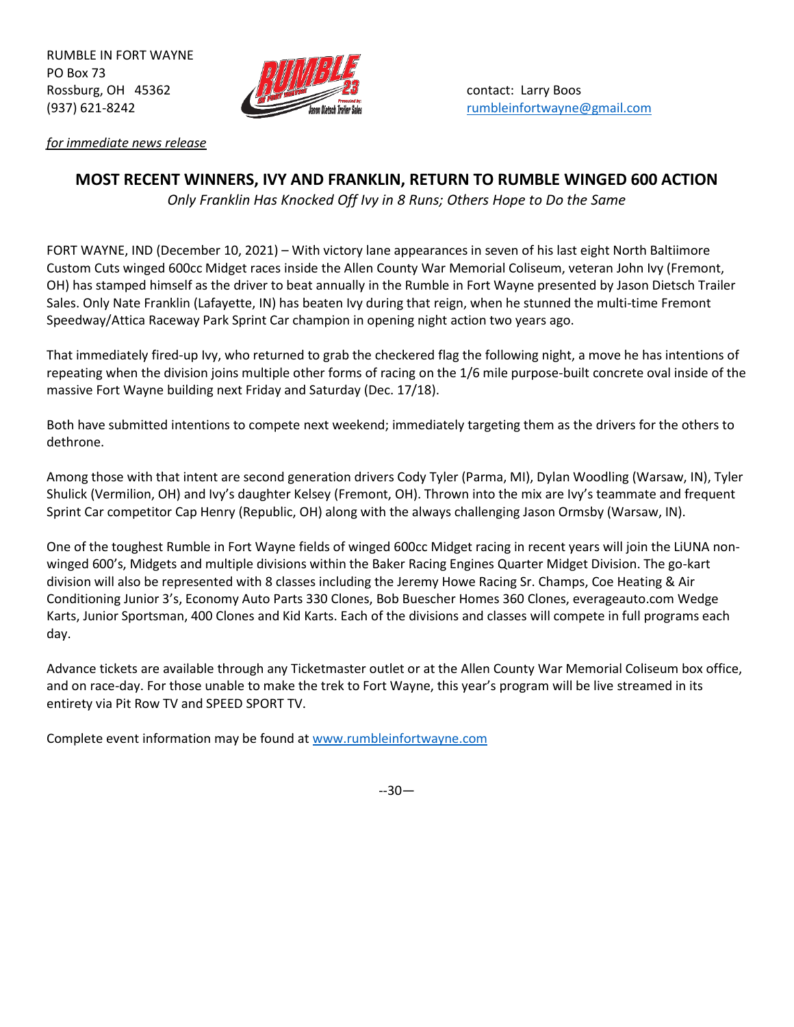RUMBLE IN FORT WAYNE PO Box 73 Rossburg, OH 45362 **Contact: Larry Boos** contact: Larry Boos



*for immediate news release*

## **MOST RECENT WINNERS, IVY AND FRANKLIN, RETURN TO RUMBLE WINGED 600 ACTION**

*Only Franklin Has Knocked Off Ivy in 8 Runs; Others Hope to Do the Same*

FORT WAYNE, IND (December 10, 2021) – With victory lane appearances in seven of his last eight North Baltiimore Custom Cuts winged 600cc Midget races inside the Allen County War Memorial Coliseum, veteran John Ivy (Fremont, OH) has stamped himself as the driver to beat annually in the Rumble in Fort Wayne presented by Jason Dietsch Trailer Sales. Only Nate Franklin (Lafayette, IN) has beaten Ivy during that reign, when he stunned the multi-time Fremont Speedway/Attica Raceway Park Sprint Car champion in opening night action two years ago.

That immediately fired-up Ivy, who returned to grab the checkered flag the following night, a move he has intentions of repeating when the division joins multiple other forms of racing on the 1/6 mile purpose-built concrete oval inside of the massive Fort Wayne building next Friday and Saturday (Dec. 17/18).

Both have submitted intentions to compete next weekend; immediately targeting them as the drivers for the others to dethrone.

Among those with that intent are second generation drivers Cody Tyler (Parma, MI), Dylan Woodling (Warsaw, IN), Tyler Shulick (Vermilion, OH) and Ivy's daughter Kelsey (Fremont, OH). Thrown into the mix are Ivy's teammate and frequent Sprint Car competitor Cap Henry (Republic, OH) along with the always challenging Jason Ormsby (Warsaw, IN).

One of the toughest Rumble in Fort Wayne fields of winged 600cc Midget racing in recent years will join the LiUNA nonwinged 600's, Midgets and multiple divisions within the Baker Racing Engines Quarter Midget Division. The go-kart division will also be represented with 8 classes including the Jeremy Howe Racing Sr. Champs, Coe Heating & Air Conditioning Junior 3's, Economy Auto Parts 330 Clones, Bob Buescher Homes 360 Clones, everageauto.com Wedge Karts, Junior Sportsman, 400 Clones and Kid Karts. Each of the divisions and classes will compete in full programs each day.

Advance tickets are available through any Ticketmaster outlet or at the Allen County War Memorial Coliseum box office, and on race-day. For those unable to make the trek to Fort Wayne, this year's program will be live streamed in its entirety via Pit Row TV and SPEED SPORT TV.

Complete event information may be found at [www.rumbleinfortwayne.com](http://www.rumbleinfortwayne.com/)

--30—